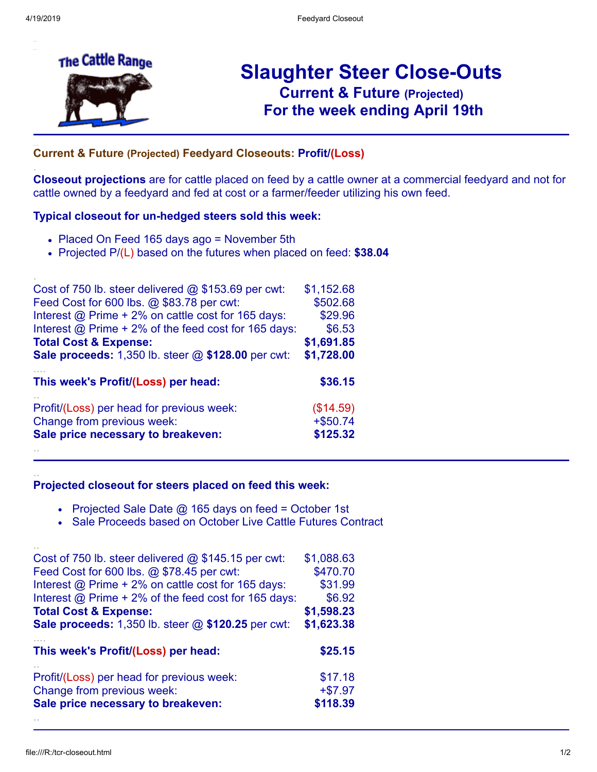.

.

..

..



# **Slaughter Steer Close-Outs Current & Future (Projected)** .**For the week ending April 19th**

# ... **Current & Future (Projected) Feedyard Closeouts: Profit/(Loss)**

**Closeout projections** are for cattle placed on feed by a cattle owner at a commercial feedyard and not for cattle owned by a feedyard and fed at cost or a farmer/feeder utilizing his own feed.

#### **Typical closeout for un-hedged steers sold this week:**

- Placed On Feed 165 days ago = November 5th
- Projected P/(L) based on the futures when placed on feed: **\$38.04**

| \$1,152.68  |
|-------------|
| \$502.68    |
| \$29.96     |
| \$6.53      |
| \$1,691.85  |
| \$1,728.00  |
| \$36.15     |
|             |
| (\$14.59)   |
| $+$ \$50.74 |
|             |

### **Projected closeout for steers placed on feed this week:**

- Projected Sale Date  $@$  165 days on feed = October 1st
- Sale Proceeds based on October Live Cattle Futures Contract

| Cost of 750 lb. steer delivered $@$ \$145.15 per cwt:       | \$1,088.63 |
|-------------------------------------------------------------|------------|
| Feed Cost for 600 lbs. @ \$78.45 per cwt:                   | \$470.70   |
| Interest @ Prime + 2% on cattle cost for 165 days:          | \$31.99    |
| Interest $\omega$ Prime + 2% of the feed cost for 165 days: | \$6.92     |
| <b>Total Cost &amp; Expense:</b>                            | \$1,598.23 |
| Sale proceeds: 1,350 lb. steer @ \$120.25 per cwt:          | \$1,623.38 |
|                                                             |            |
| This week's Profit/(Loss) per head:                         | \$25.15    |
| Profit/(Loss) per head for previous week:                   | \$17.18    |
| Change from previous week:                                  | $+ $7.97$  |
| Sale price necessary to breakeven:                          | \$118.39   |